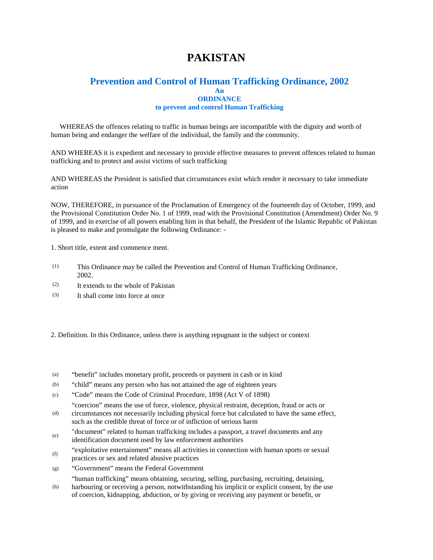# **PAKISTAN**

## **Prevention and Control of Human Trafficking Ordinance, 2002 An ORDINANCE**

#### **to prevent and control Human Trafficking**

 WHEREAS the offences relating to traffic in human beings are incompatible with the dignity and worth of human being and endanger the welfare of the individual, the family and the community.

AND WHEREAS it is expedient and necessary to provide effective measures to prevent offences related to human trafficking and to protect and assist victims of such trafficking

AND WHEREAS the President is satisfied that circumstances exist which render it necessary to take immediate action

NOW, THEREFORE, in pursuance of the Proclamation of Emergency of the fourteenth day of October, 1999, and the Provisional Constitution Order No. 1 of 1999, read with the Provisional Constitution (Amendment) Order No. 9 of 1999, and in exercise of all powers enabling him in that behalf, the President of the Islamic Republic of Pakistan is pleased to make and promulgate the following Ordinance: -

1. Short title, extent and commence ment.

- (1) This Ordinance may be called the Prevention and Control of Human Trafficking Ordinance, 2002.
- (2) It extends to the whole of Pakistan
- (3) It shall come into force at once
- 2. Definition. In this Ordinance, unless there is anything repugnant in the subject or context
- (a) "benefit" includes monetary profit, proceeds or payment in cash or in kind
- (b) "child" means any person who has not attained the age of eighteen years
- (c) "Code" means the Code of Criminal Procedure, 1898 (Act V of 1898)
- (d) "coercion" means the use of force, violence, physical restraint, deception, fraud or acts or circumstances not necessarily including physical force but calculated to have the same effect,
- such as the credible threat of force or of infliction of serious harm
- (e) "document" related to human trafficking includes a passport, a travel documents and any identification document used by law enforcement authorities
- (f) "exploitative entertainment" means all activities in connection with human sports or sexual practices or sex and related abusive practices
- (g) "Government" means the Federal Government
- "human trafficking" means obtaining, securing, selling, purchasing, recruiting, detaining,
- (h) harbouring or receiving a person, notwithstanding his implicit or explicit consent, by the use of coercion, kidnapping, abduction, or by giving or receiving any payment or benefit, or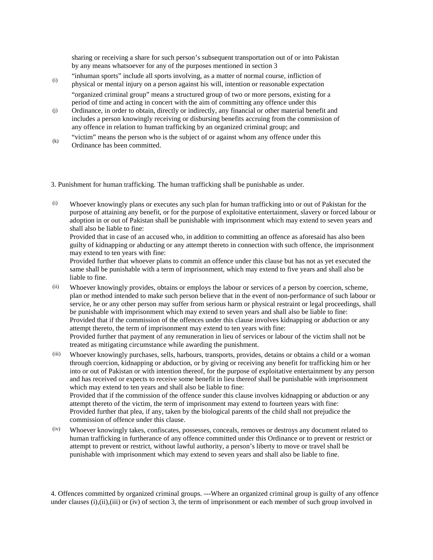sharing or receiving a share for such person's subsequent transportation out of or into Pakistan by any means whatsoever for any of the purposes mentioned in section 3

- (i) "inhuman sports" include all sports involving, as a matter of normal course, infliction of physical or mental injury on a person against his will, intention or reasonable expectation "organized criminal group" means a structured group of two or more persons, existing for a period of time and acting in concert with the aim of committing any offence under this
- (j) Ordinance, in order to obtain, directly or indirectly, any financial or other material benefit and includes a person knowingly receiving or disbursing benefits accruing from the commission of any offence in relation to human trafficking by an organized criminal group; and
- (k) "victim" means the person who is the subject of or against whom any offence under this Ordinance has been committed.

3. Punishment for human trafficking. The human trafficking shall be punishable as under.

(i) Whoever knowingly plans or executes any such plan for human trafficking into or out of Pakistan for the purpose of attaining any benefit, or for the purpose of exploitative entertainment, slavery or forced labour or adoption in or out of Pakistan shall be punishable with imprisonment which may extend to seven years and shall also be liable to fine:

Provided that in case of an accused who, in addition to committing an offence as aforesaid has also been guilty of kidnapping or abducting or any attempt thereto in connection with such offence, the imprisonment may extend to ten years with fine:

Provided further that whoever plans to commit an offence under this clause but has not as yet executed the same shall be punishable with a term of imprisonment, which may extend to five years and shall also be liable to fine.

(ii) Whoever knowingly provides, obtains or employs the labour or services of a person by coercion, scheme, plan or method intended to make such person believe that in the event of non-performance of such labour or service, he or any other person may suffer from serious harm or physical restraint or legal proceedings, shall be punishable with imprisonment which may extend to seven years and shall also be liable to fine: Provided that if the commission of the offences under this clause involves kidnapping or abduction or any attempt thereto, the term of imprisonment may extend to ten years with fine: Provided further that payment of any remuneration in lieu of services or labour of the victim shall not be treated as mitigating circumstance while awarding the punishment.

- (iii) Whoever knowingly purchases, sells, harbours, transports, provides, detains or obtains a child or a woman through coercion, kidnapping or abduction, or by giving or receiving any benefit for trafficking him or her into or out of Pakistan or with intention thereof, for the purpose of exploitative entertainment by any person and has received or expects to receive some benefit in lieu thereof shall be punishable with imprisonment which may extend to ten years and shall also be liable to fine: Provided that if the commission of the offence sunder this clause involves kidnapping or abduction or any attempt thereto of the victim, the term of imprisonment may extend to fourteen years with fine: Provided further that plea, if any, taken by the biological parents of the child shall not prejudice the commission of offence under this clause.
- (iv) Whoever knowingly takes, confiscates, possesses, conceals, removes or destroys any document related to human trafficking in furtherance of any offence committed under this Ordinance or to prevent or restrict or attempt to prevent or restrict, without lawful authority, a person's liberty to move or travel shall be punishable with imprisonment which may extend to seven years and shall also be liable to fine.

4. Offences committed by organized criminal groups. ---Where an organized criminal group is guilty of any offence under clauses (i),(ii),(iii) or (iv) of section 3, the term of imprisonment or each member of such group involved in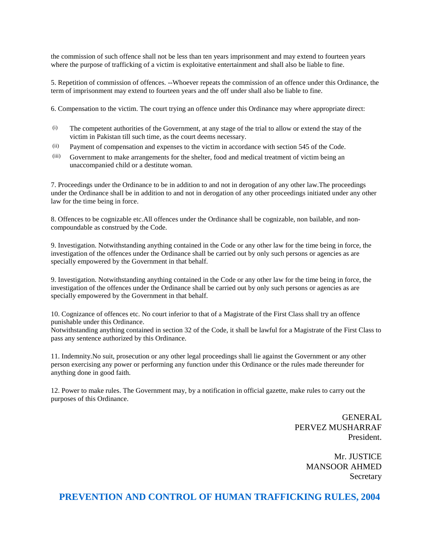the commission of such offence shall not be less than ten years imprisonment and may extend to fourteen years where the purpose of trafficking of a victim is exploitative entertainment and shall also be liable to fine.

5. Repetition of commission of offences. --Whoever repeats the commission of an offence under this Ordinance, the term of imprisonment may extend to fourteen years and the off under shall also be liable to fine.

6. Compensation to the victim. The court trying an offence under this Ordinance may where appropriate direct:

- (i) The competent authorities of the Government, at any stage of the trial to allow or extend the stay of the victim in Pakistan till such time, as the court deems necessary.
- (ii) Payment of compensation and expenses to the victim in accordance with section 545 of the Code.
- (iii) Government to make arrangements for the shelter, food and medical treatment of victim being an unaccompanied child or a destitute woman.

7. Proceedings under the Ordinance to be in addition to and not in derogation of any other law.The proceedings under the Ordinance shall be in addition to and not in derogation of any other proceedings initiated under any other law for the time being in force.

8. Offences to be cognizable etc.All offences under the Ordinance shall be cognizable, non bailable, and noncompoundable as construed by the Code.

9. Investigation. Notwithstanding anything contained in the Code or any other law for the time being in force, the investigation of the offences under the Ordinance shall be carried out by only such persons or agencies as are specially empowered by the Government in that behalf.

9. Investigation. Notwithstanding anything contained in the Code or any other law for the time being in force, the investigation of the offences under the Ordinance shall be carried out by only such persons or agencies as are specially empowered by the Government in that behalf.

10. Cognizance of offences etc. No court inferior to that of a Magistrate of the First Class shall try an offence punishable under this Ordinance.

Notwithstanding anything contained in section 32 of the Code, it shall be lawful for a Magistrate of the First Class to pass any sentence authorized by this Ordinance.

11. Indemnity.No suit, prosecution or any other legal proceedings shall lie against the Government or any other person exercising any power or performing any function under this Ordinance or the rules made thereunder for anything done in good faith.

12. Power to make rules. The Government may, by a notification in official gazette, make rules to carry out the purposes of this Ordinance.

> GENERAL PERVEZ MUSHARRAF President.

> > Mr. JUSTICE MANSOOR AHMED Secretary

**PREVENTION AND CONTROL OF HUMAN TRAFFICKING RULES, 2004**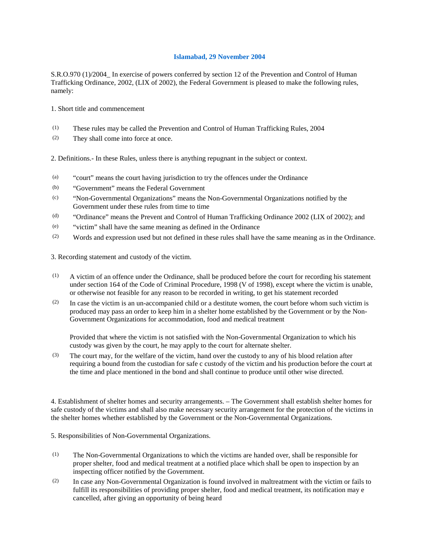### **Islamabad, 29 November 2004**

S.R.O.970 (1)/2004\_ In exercise of powers conferred by section 12 of the Prevention and Control of Human Trafficking Ordinance, 2002, (LIX of 2002), the Federal Government is pleased to make the following rules, namely:

1. Short title and commencement

- (1) These rules may be called the Prevention and Control of Human Trafficking Rules, 2004
- (2) They shall come into force at once.

2. Definitions.- In these Rules, unless there is anything repugnant in the subject or context.

- (a) "court" means the court having jurisdiction to try the offences under the Ordinance
- (b) "Government" means the Federal Government
- (c) "Non-Governmental Organizations" means the Non-Governmental Organizations notified by the Government under these rules from time to time
- (d) "Ordinance" means the Prevent and Control of Human Trafficking Ordinance 2002 (LIX of 2002); and
- (e) "victim" shall have the same meaning as defined in the Ordinance
- (2) Words and expression used but not defined in these rules shall have the same meaning as in the Ordinance.

3. Recording statement and custody of the victim.

- (1) A victim of an offence under the Ordinance, shall be produced before the court for recording his statement under section 164 of the Code of Criminal Procedure, 1998 (V of 1998), except where the victim is unable, or otherwise not feasible for any reason to be recorded in writing, to get his statement recorded
- (2) In case the victim is an un-accompanied child or a destitute women, the court before whom such victim is produced may pass an order to keep him in a shelter home established by the Government or by the Non-Government Organizations for accommodation, food and medical treatment

Provided that where the victim is not satisfied with the Non-Governmental Organization to which his custody was given by the court, he may apply to the court for alternate shelter.

(3) The court may, for the welfare of the victim, hand over the custody to any of his blood relation after requiring a bound from the custodian for safe c custody of the victim and his production before the court at the time and place mentioned in the bond and shall continue to produce until other wise directed.

4. Establishment of shelter homes and security arrangements. – The Government shall establish shelter homes for safe custody of the victims and shall also make necessary security arrangement for the protection of the victims in the shelter homes whether established by the Government or the Non-Governmental Organizations.

5. Responsibilities of Non-Governmental Organizations.

- (1) The Non-Governmental Organizations to which the victims are handed over, shall be responsible for proper shelter, food and medical treatment at a notified place which shall be open to inspection by an inspecting officer notified by the Government.
- (2) In case any Non-Governmental Organization is found involved in maltreatment with the victim or fails to fulfill its responsibilities of providing proper shelter, food and medical treatment, its notification may e cancelled, after giving an opportunity of being heard